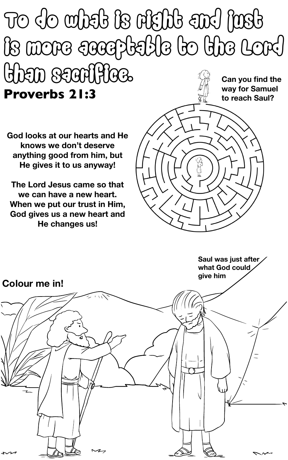#### To do what is right and just is more acceptable to the Lord than sacrifice. **Proverbs 21:3 Can you find the way for Samuel to reach Saul?**

- **God looks at our hearts and He knows we don't deserve anything good from him, but He gives it to us anyway!**
- **The Lord Jesus came so that we can have a new heart. When we put our trust in Him, God gives us a new heart and**



**He changes us!**

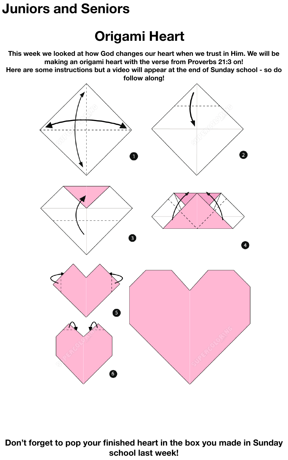### **Juniors and Seniors**

### **Origami Heart**

**This week we looked at how God changes our heart when we trust in Him. We will be making an origami heart with the verse from Proverbs 21:3 on! Here are some instructions but a video will appear at the end of Sunday school - so do follow along!**





**school last week!**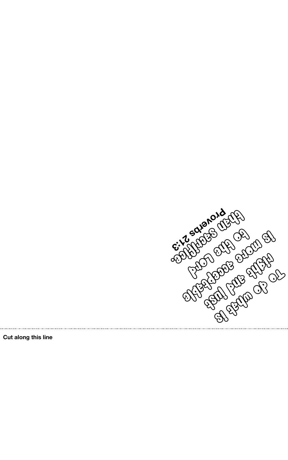

**Cut along this line**